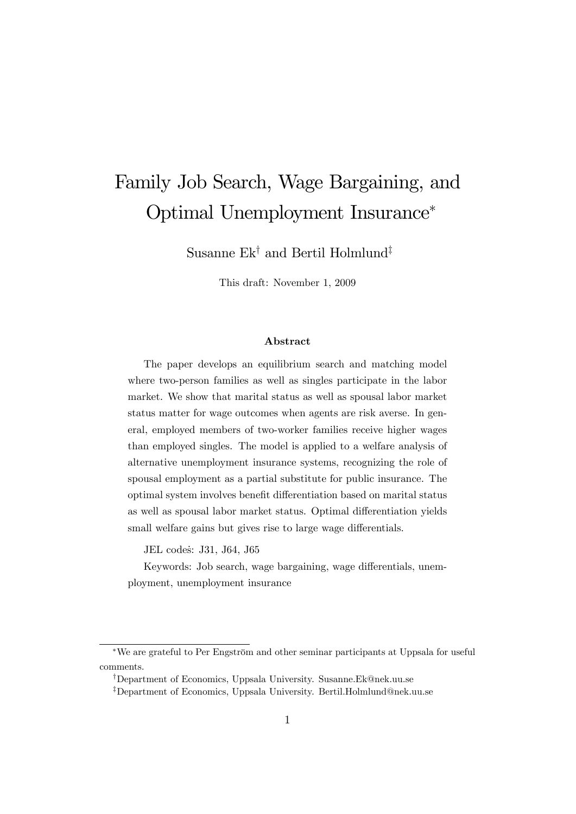# Family Job Search, Wage Bargaining, and Optimal Unemployment Insurance

Susanne Ek<sup>†</sup> and Bertil Holmlund<sup>‡</sup>

This draft: November 1, 2009

#### Abstract

The paper develops an equilibrium search and matching model where two-person families as well as singles participate in the labor market. We show that marital status as well as spousal labor market status matter for wage outcomes when agents are risk averse. In general, employed members of two-worker families receive higher wages than employed singles. The model is applied to a welfare analysis of alternative unemployment insurance systems, recognizing the role of spousal employment as a partial substitute for public insurance. The optimal system involves benefit differentiation based on marital status as well as spousal labor market status. Optimal differentiation yields small welfare gains but gives rise to large wage differentials.

JEL codes: J31, J64, J65

Keywords: Job search, wage bargaining, wage differentials, unemployment, unemployment insurance

<sup>\*</sup>We are grateful to Per Engström and other seminar participants at Uppsala for useful comments.

<sup>&</sup>lt;sup>†</sup>Department of Economics, Uppsala University. Susanne.Ek@nek.uu.se

<sup>&</sup>lt;sup>‡</sup>Department of Economics, Uppsala University. Bertil.Holmlund@nek.uu.se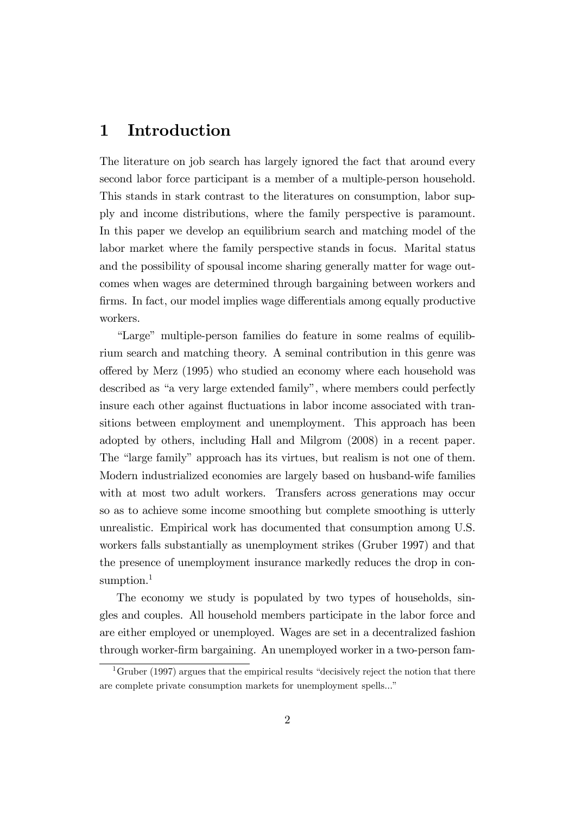# 1 Introduction

The literature on job search has largely ignored the fact that around every second labor force participant is a member of a multiple-person household. This stands in stark contrast to the literatures on consumption, labor supply and income distributions, where the family perspective is paramount. In this paper we develop an equilibrium search and matching model of the labor market where the family perspective stands in focus. Marital status and the possibility of spousal income sharing generally matter for wage outcomes when wages are determined through bargaining between workers and firms. In fact, our model implies wage differentials among equally productive workers.

"Large" multiple-person families do feature in some realms of equilibrium search and matching theory. A seminal contribution in this genre was o§ered by Merz (1995) who studied an economy where each household was described as "a very large extended family", where members could perfectly insure each other against fluctuations in labor income associated with transitions between employment and unemployment. This approach has been adopted by others, including Hall and Milgrom (2008) in a recent paper. The "large family" approach has its virtues, but realism is not one of them. Modern industrialized economies are largely based on husband-wife families with at most two adult workers. Transfers across generations may occur so as to achieve some income smoothing but complete smoothing is utterly unrealistic. Empirical work has documented that consumption among U.S. workers falls substantially as unemployment strikes (Gruber 1997) and that the presence of unemployment insurance markedly reduces the drop in consumption.<sup>1</sup>

The economy we study is populated by two types of households, singles and couples. All household members participate in the labor force and are either employed or unemployed. Wages are set in a decentralized fashion through worker-Örm bargaining. An unemployed worker in a two-person fam-

<sup>&</sup>lt;sup>1</sup>Gruber (1997) argues that the empirical results "decisively reject the notion that there are complete private consumption markets for unemployment spells..."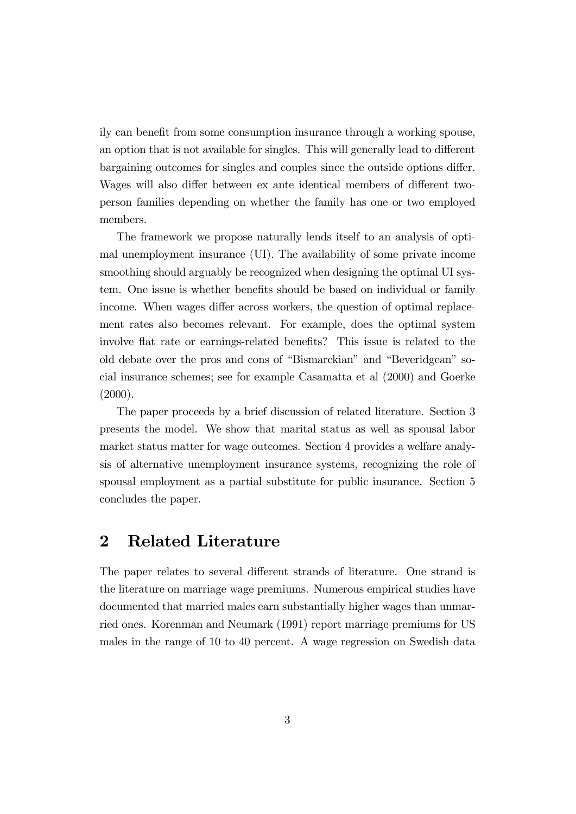ily can benefit from some consumption insurance through a working spouse, an option that is not available for singles. This will generally lead to different bargaining outcomes for singles and couples since the outside options differ. Wages will also differ between ex ante identical members of different twoperson families depending on whether the family has one or two employed members.

The framework we propose naturally lends itself to an analysis of optimal unemployment insurance (UI). The availability of some private income smoothing should arguably be recognized when designing the optimal UI system. One issue is whether benefits should be based on individual or family income. When wages differ across workers, the question of optimal replacement rates also becomes relevant. For example, does the optimal system involve flat rate or earnings-related benefits? This issue is related to the old debate over the pros and cons of "Bismarckian" and "Beveridgean" social insurance schemes; see for example Casamatta et al (2000) and Goerke  $(2000).$ 

The paper proceeds by a brief discussion of related literature. Section 3 presents the model. We show that marital status as well as spousal labor market status matter for wage outcomes. Section 4 provides a welfare analysis of alternative unemployment insurance systems, recognizing the role of spousal employment as a partial substitute for public insurance. Section 5 concludes the paper.

## 2 Related Literature

The paper relates to several different strands of literature. One strand is the literature on marriage wage premiums. Numerous empirical studies have documented that married males earn substantially higher wages than unmarried ones. Korenman and Neumark (1991) report marriage premiums for US males in the range of 10 to 40 percent. A wage regression on Swedish data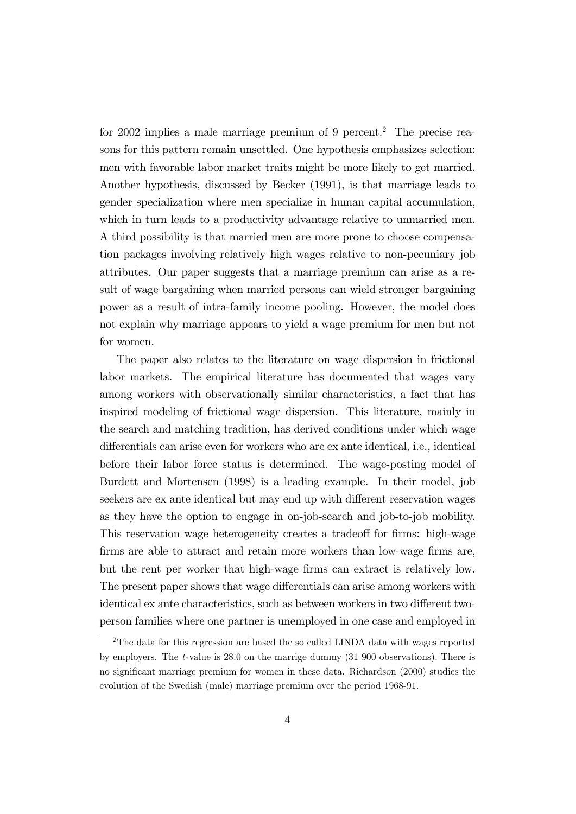for 2002 implies a male marriage premium of 9 percent.<sup>2</sup> The precise reasons for this pattern remain unsettled. One hypothesis emphasizes selection: men with favorable labor market traits might be more likely to get married. Another hypothesis, discussed by Becker (1991), is that marriage leads to gender specialization where men specialize in human capital accumulation, which in turn leads to a productivity advantage relative to unmarried men. A third possibility is that married men are more prone to choose compensation packages involving relatively high wages relative to non-pecuniary job attributes. Our paper suggests that a marriage premium can arise as a result of wage bargaining when married persons can wield stronger bargaining power as a result of intra-family income pooling. However, the model does not explain why marriage appears to yield a wage premium for men but not for women.

The paper also relates to the literature on wage dispersion in frictional labor markets. The empirical literature has documented that wages vary among workers with observationally similar characteristics, a fact that has inspired modeling of frictional wage dispersion. This literature, mainly in the search and matching tradition, has derived conditions under which wage differentials can arise even for workers who are ex ante identical, i.e., identical before their labor force status is determined. The wage-posting model of Burdett and Mortensen (1998) is a leading example. In their model, job seekers are ex ante identical but may end up with different reservation wages as they have the option to engage in on-job-search and job-to-job mobility. This reservation wage heterogeneity creates a tradeoff for firms: high-wage firms are able to attract and retain more workers than low-wage firms are, but the rent per worker that high-wage Örms can extract is relatively low. The present paper shows that wage differentials can arise among workers with identical ex ante characteristics, such as between workers in two different twoperson families where one partner is unemployed in one case and employed in

<sup>&</sup>lt;sup>2</sup>The data for this regression are based the so called LINDA data with wages reported by employers. The t-value is 28.0 on the marrige dummy (31 900 observations). There is no significant marriage premium for women in these data. Richardson (2000) studies the evolution of the Swedish (male) marriage premium over the period 1968-91.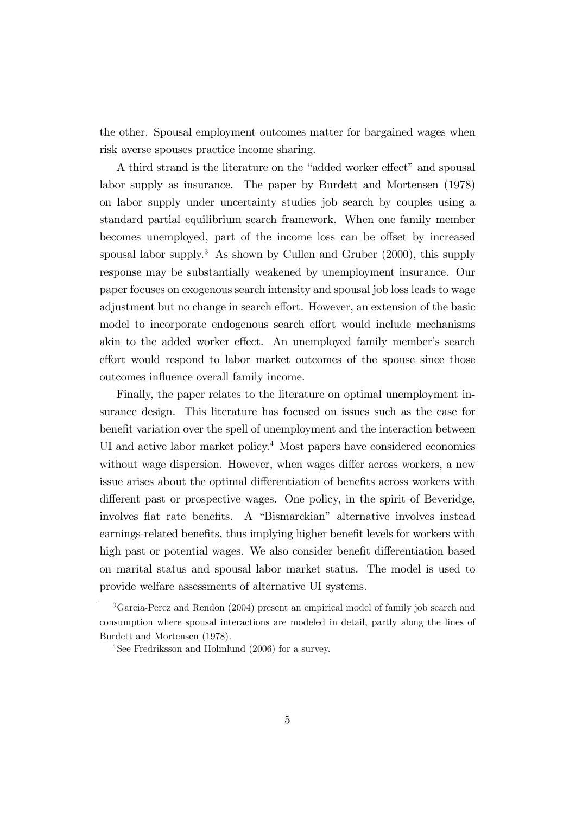the other. Spousal employment outcomes matter for bargained wages when risk averse spouses practice income sharing.

A third strand is the literature on the "added worker effect" and spousal labor supply as insurance. The paper by Burdett and Mortensen (1978) on labor supply under uncertainty studies job search by couples using a standard partial equilibrium search framework. When one family member becomes unemployed, part of the income loss can be offset by increased spousal labor supply.<sup>3</sup> As shown by Cullen and Gruber  $(2000)$ , this supply response may be substantially weakened by unemployment insurance. Our paper focuses on exogenous search intensity and spousal job loss leads to wage adjustment but no change in search effort. However, an extension of the basic model to incorporate endogenous search effort would include mechanisms akin to the added worker effect. An unemployed family member's search effort would respond to labor market outcomes of the spouse since those outcomes influence overall family income.

Finally, the paper relates to the literature on optimal unemployment insurance design. This literature has focused on issues such as the case for benefit variation over the spell of unemployment and the interaction between UI and active labor market policy.<sup>4</sup> Most papers have considered economies without wage dispersion. However, when wages differ across workers, a new issue arises about the optimal differentiation of benefits across workers with different past or prospective wages. One policy, in the spirit of Beveridge, involves flat rate benefits. A "Bismarckian" alternative involves instead earnings-related benefits, thus implying higher benefit levels for workers with high past or potential wages. We also consider benefit differentiation based on marital status and spousal labor market status. The model is used to provide welfare assessments of alternative UI systems.

<sup>3</sup>Garcia-Perez and Rendon (2004) present an empirical model of family job search and consumption where spousal interactions are modeled in detail, partly along the lines of Burdett and Mortensen (1978).

<sup>4</sup>See Fredriksson and Holmlund (2006) for a survey.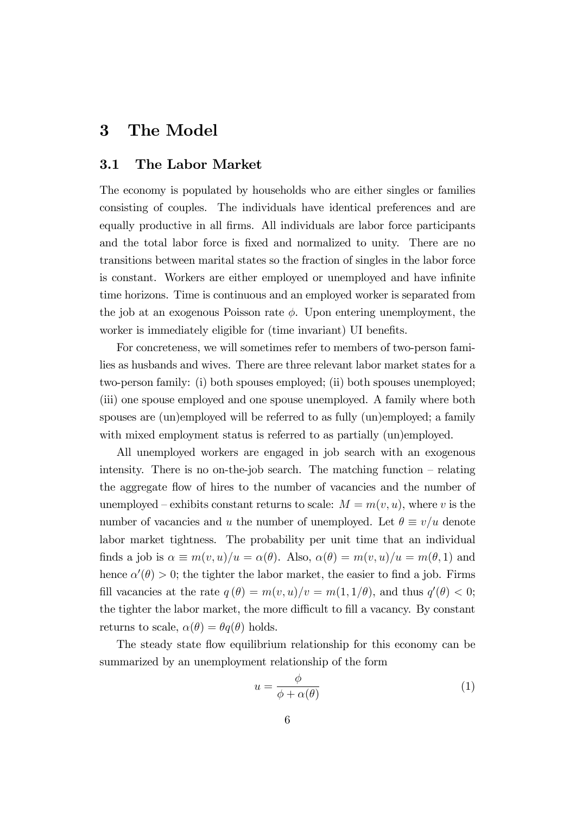# 3 The Model

### 3.1 The Labor Market

The economy is populated by households who are either singles or families consisting of couples. The individuals have identical preferences and are equally productive in all firms. All individuals are labor force participants and the total labor force is fixed and normalized to unity. There are no transitions between marital states so the fraction of singles in the labor force is constant. Workers are either employed or unemployed and have infinite time horizons. Time is continuous and an employed worker is separated from the job at an exogenous Poisson rate  $\phi$ . Upon entering unemployment, the worker is immediately eligible for (time invariant) UI benefits.

For concreteness, we will sometimes refer to members of two-person families as husbands and wives. There are three relevant labor market states for a two-person family: (i) both spouses employed; (ii) both spouses unemployed; (iii) one spouse employed and one spouse unemployed. A family where both spouses are (un)employed will be referred to as fully (un)employed; a family with mixed employment status is referred to as partially (un)employed.

All unemployed workers are engaged in job search with an exogenous intensity. There is no on-the-job search. The matching function  $-$  relating the aggregate áow of hires to the number of vacancies and the number of unemployed – exhibits constant returns to scale:  $M = m(v, u)$ , where v is the number of vacancies and u the number of unemployed. Let  $\theta \equiv v/u$  denote labor market tightness. The probability per unit time that an individual finds a job is  $\alpha \equiv m(v, u)/u = \alpha(\theta)$ . Also,  $\alpha(\theta) = m(v, u)/u = m(\theta, 1)$  and hence  $\alpha'(\theta) > 0$ ; the tighter the labor market, the easier to find a job. Firms fill vacancies at the rate  $q(\theta) = m(v, u)/v = m(1, 1/\theta)$ , and thus  $q'(\theta) < 0$ ; the tighter the labor market, the more difficult to fill a vacancy. By constant returns to scale,  $\alpha(\theta) = \theta q(\theta)$  holds.

The steady state flow equilibrium relationship for this economy can be summarized by an unemployment relationship of the form

$$
u = \frac{\phi}{\phi + \alpha(\theta)}\tag{1}
$$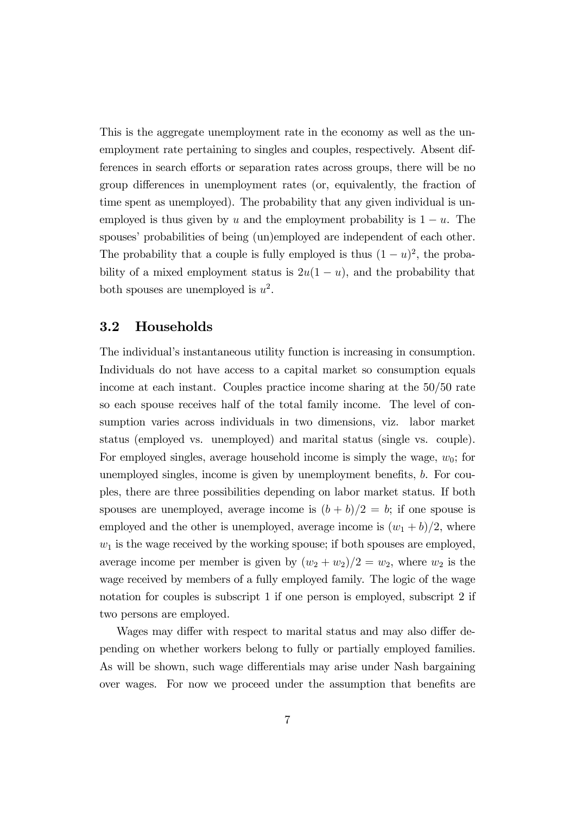This is the aggregate unemployment rate in the economy as well as the unemployment rate pertaining to singles and couples, respectively. Absent differences in search efforts or separation rates across groups, there will be no group differences in unemployment rates (or, equivalently, the fraction of time spent as unemployed). The probability that any given individual is unemployed is thus given by u and the employment probability is  $1 - u$ . The spouses' probabilities of being (un)employed are independent of each other. The probability that a couple is fully employed is thus  $(1 - u)^2$ , the probability of a mixed employment status is  $2u(1-u)$ , and the probability that both spouses are unemployed is  $u^2$ .

#### 3.2 Households

The individual's instantaneous utility function is increasing in consumption. Individuals do not have access to a capital market so consumption equals income at each instant. Couples practice income sharing at the 50/50 rate so each spouse receives half of the total family income. The level of consumption varies across individuals in two dimensions, viz. labor market status (employed vs. unemployed) and marital status (single vs. couple). For employed singles, average household income is simply the wage,  $w_0$ ; for unemployed singles, income is given by unemployment benefits,  $b$ . For couples, there are three possibilities depending on labor market status. If both spouses are unemployed, average income is  $(b + b)/2 = b$ ; if one spouse is employed and the other is unemployed, average income is  $(w_1 + b)/2$ , where  $w_1$  is the wage received by the working spouse; if both spouses are employed, average income per member is given by  $(w_2 + w_2)/2 = w_2$ , where  $w_2$  is the wage received by members of a fully employed family. The logic of the wage notation for couples is subscript 1 if one person is employed, subscript 2 if two persons are employed.

Wages may differ with respect to marital status and may also differ depending on whether workers belong to fully or partially employed families. As will be shown, such wage differentials may arise under Nash bargaining over wages. For now we proceed under the assumption that benefits are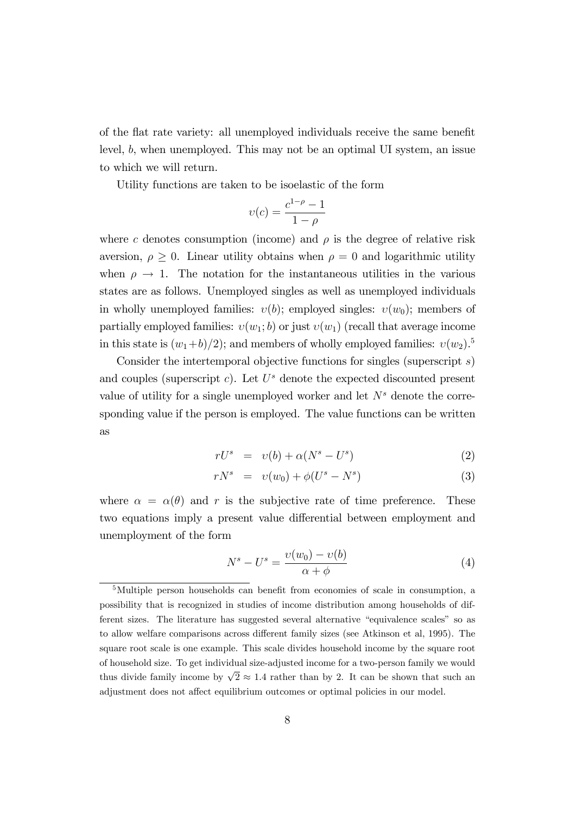of the flat rate variety: all unemployed individuals receive the same benefit level, b, when unemployed. This may not be an optimal UI system, an issue to which we will return.

Utility functions are taken to be isoelastic of the form

$$
\upsilon(c) = \frac{c^{1-\rho} - 1}{1 - \rho}
$$

where c denotes consumption (income) and  $\rho$  is the degree of relative risk aversion,  $\rho \geq 0$ . Linear utility obtains when  $\rho = 0$  and logarithmic utility when  $\rho \rightarrow 1$ . The notation for the instantaneous utilities in the various states are as follows. Unemployed singles as well as unemployed individuals in wholly unemployed families:  $v(b)$ ; employed singles:  $v(w_0)$ ; members of partially employed families:  $v(w_1; b)$  or just  $v(w_1)$  (recall that average income in this state is  $(w_1+b)/2$ ; and members of wholly employed families:  $v(w_2)$ .<sup>5</sup>

Consider the intertemporal objective functions for singles (superscript s) and couples (superscript  $c$ ). Let  $U^s$  denote the expected discounted present value of utility for a single unemployed worker and let  $N<sup>s</sup>$  denote the corresponding value if the person is employed. The value functions can be written as

$$
rU^s = v(b) + \alpha (N^s - U^s) \tag{2}
$$

$$
rN^{s} = v(w_{0}) + \phi(U^{s} - N^{s})
$$
\n(3)

where  $\alpha = \alpha(\theta)$  and r is the subjective rate of time preference. These two equations imply a present value differential between employment and unemployment of the form

$$
N^s - U^s = \frac{\upsilon(w_0) - \upsilon(b)}{\alpha + \phi} \tag{4}
$$

 $5$ Multiple person households can benefit from economies of scale in consumption, a possibility that is recognized in studies of income distribution among households of different sizes. The literature has suggested several alternative "equivalence scales" so as to allow welfare comparisons across different family sizes (see Atkinson et al, 1995). The square root scale is one example. This scale divides household income by the square root of household size. To get individual size-adjusted income for a two-person family we would thus divide family income by  $\sqrt{2} \approx 1.4$  rather than by 2. It can be shown that such an adjustment does not affect equilibrium outcomes or optimal policies in our model.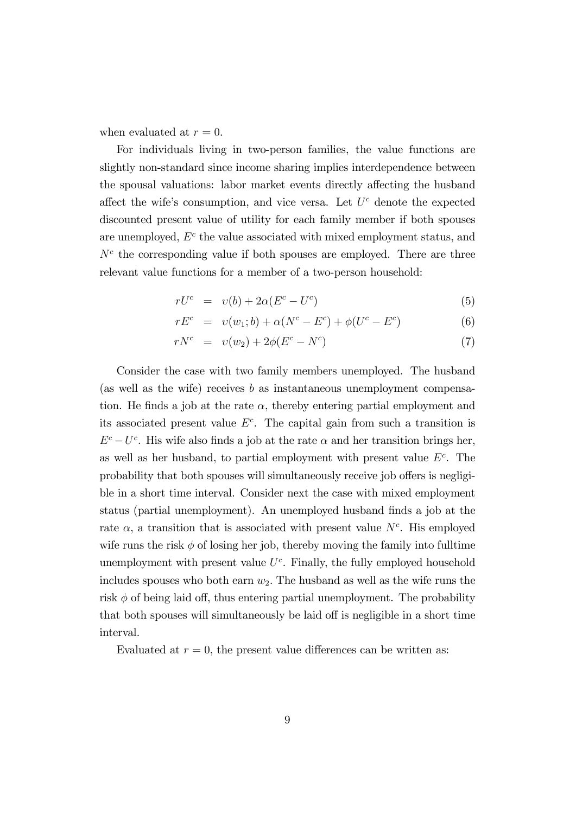when evaluated at  $r = 0$ .

For individuals living in two-person families, the value functions are slightly non-standard since income sharing implies interdependence between the spousal valuations: labor market events directly affecting the husband affect the wife's consumption, and vice versa. Let  $U<sup>c</sup>$  denote the expected discounted present value of utility for each family member if both spouses are unemployed,  $E^c$  the value associated with mixed employment status, and  $N<sup>c</sup>$  the corresponding value if both spouses are employed. There are three relevant value functions for a member of a two-person household:

$$
rU^{c} = v(b) + 2\alpha (E^{c} - U^{c})
$$
\n
$$
(5)
$$

$$
rE^{c} = v(w_{1};b) + \alpha(N^{c} - E^{c}) + \phi(U^{c} - E^{c})
$$
\n(6)

$$
rN^{c} = v(w_{2}) + 2\phi(E^{c} - N^{c})
$$
\n(7)

Consider the case with two family members unemployed. The husband (as well as the wife) receives  $b$  as instantaneous unemployment compensation. He finds a job at the rate  $\alpha$ , thereby entering partial employment and its associated present value  $E^c$ . The capital gain from such a transition is  $E^c - U^c$ . His wife also finds a job at the rate  $\alpha$  and her transition brings her, as well as her husband, to partial employment with present value  $E<sup>c</sup>$ . The probability that both spouses will simultaneously receive job offers is negligible in a short time interval. Consider next the case with mixed employment status (partial unemployment). An unemployed husband finds a job at the rate  $\alpha$ , a transition that is associated with present value  $N<sup>c</sup>$ . His employed wife runs the risk  $\phi$  of losing her job, thereby moving the family into fulltime unemployment with present value  $U^c$ . Finally, the fully employed household includes spouses who both earn  $w_2$ . The husband as well as the wife runs the risk  $\phi$  of being laid off, thus entering partial unemployment. The probability that both spouses will simultaneously be laid off is negligible in a short time interval.

Evaluated at  $r = 0$ , the present value differences can be written as: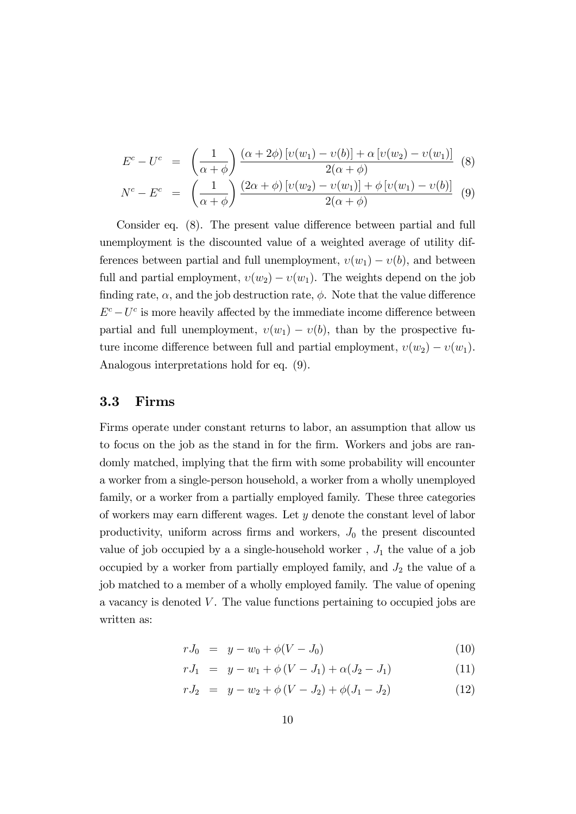$$
E^{c} - U^{c} = \left(\frac{1}{\alpha + \phi}\right) \frac{(\alpha + 2\phi) [v(w_{1}) - v(b)] + \alpha [v(w_{2}) - v(w_{1})]}{2(\alpha + \phi)} \tag{8}
$$
  

$$
N^{c} - E^{c} = \left(\frac{1}{\alpha + \phi}\right) \frac{(2\alpha + \phi) [v(w_{2}) - v(w_{1})] + \phi [v(w_{1}) - v(b)]}{2(\alpha + \phi)} \tag{9}
$$

$$
N^{c} - E^{c} = \left(\frac{1}{\alpha + \phi}\right) \frac{(2\alpha + \phi)\left[\psi(\omega_{2}) - \psi(\omega_{1})\right] + \psi\left[\psi(\omega_{1}) - \psi(\omega)\right]}{2(\alpha + \phi)}
$$
(9)  
Consider eq. (8). The present value difference between partial and full  
remplovment is the discounted value of a weighted average of utility dif-

unemployment is the discounted value of a weighted average of utility differences between partial and full unemployment,  $v(w_1) - v(b)$ , and between full and partial employment,  $v(w_2) - v(w_1)$ . The weights depend on the job finding rate,  $\alpha$ , and the job destruction rate,  $\phi$ . Note that the value difference  $E^c-U^c$  is more heavily affected by the immediate income difference between partial and full unemployment,  $v(w_1) - v(b)$ , than by the prospective future income difference between full and partial employment,  $v(w_2) - v(w_1)$ . Analogous interpretations hold for eq. (9).

#### 3.3 Firms

Firms operate under constant returns to labor, an assumption that allow us to focus on the job as the stand in for the firm. Workers and jobs are randomly matched, implying that the firm with some probability will encounter a worker from a single-person household, a worker from a wholly unemployed family, or a worker from a partially employed family. These three categories of workers may earn different wages. Let  $y$  denote the constant level of labor productivity, uniform across firms and workers,  $J_0$  the present discounted value of job occupied by a a single-household worker,  $J_1$  the value of a job occupied by a worker from partially employed family, and  $J_2$  the value of a job matched to a member of a wholly employed family. The value of opening a vacancy is denoted  $V$ . The value functions pertaining to occupied jobs are written as:

$$
rJ_0 = y - w_0 + \phi(V - J_0) \tag{10}
$$

$$
rJ_1 = y - w_1 + \phi(V - J_1) + \alpha(J_2 - J_1) \tag{11}
$$

$$
rJ_2 = y - w_2 + \phi(V - J_2) + \phi(J_1 - J_2)
$$
\n(12)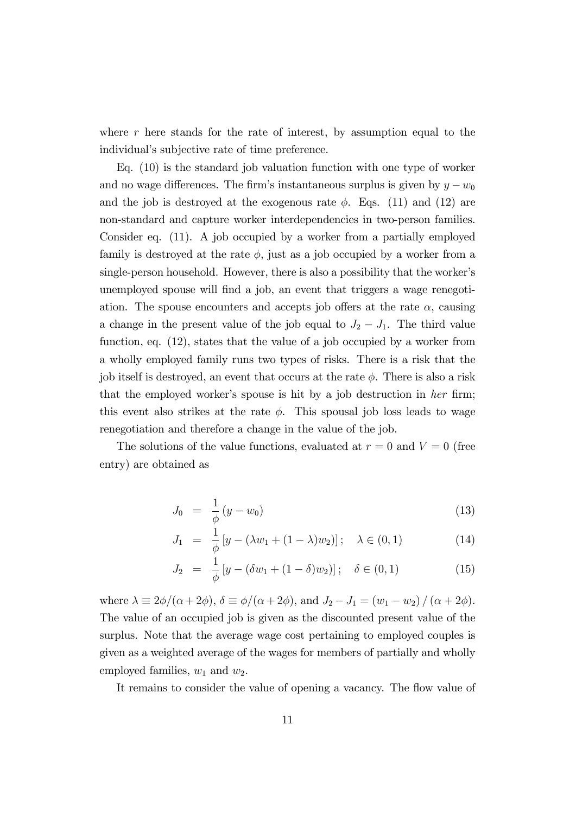where  $r$  here stands for the rate of interest, by assumption equal to the individual's subjective rate of time preference.

Eq. (10) is the standard job valuation function with one type of worker and no wage differences. The firm's instantaneous surplus is given by  $y - w_0$ and the job is destroyed at the exogenous rate  $\phi$ . Eqs. (11) and (12) are non-standard and capture worker interdependencies in two-person families. Consider eq. (11). A job occupied by a worker from a partially employed family is destroyed at the rate  $\phi$ , just as a job occupied by a worker from a single-person household. However, there is also a possibility that the worker's unemployed spouse will find a job, an event that triggers a wage renegotiation. The spouse encounters and accepts job offers at the rate  $\alpha$ , causing a change in the present value of the job equal to  $J_2 - J_1$ . The third value function, eq. (12), states that the value of a job occupied by a worker from a wholly employed family runs two types of risks. There is a risk that the job itself is destroyed, an event that occurs at the rate  $\phi$ . There is also a risk that the employed worker's spouse is hit by a job destruction in her firm; this event also strikes at the rate  $\phi$ . This spousal job loss leads to wage renegotiation and therefore a change in the value of the job.

The solutions of the value functions, evaluated at  $r = 0$  and  $V = 0$  (free entry) are obtained as

$$
J_0 = \frac{1}{\phi} (y - w_0) \tag{13}
$$

$$
J_1 = \frac{1}{\phi} \left[ y - (\lambda w_1 + (1 - \lambda) w_2) \right]; \quad \lambda \in (0, 1)
$$
 (14)

$$
J_2 = \frac{1}{\phi} \left[ y - (\delta w_1 + (1 - \delta) w_2) \right]; \quad \delta \in (0, 1)
$$
 (15)

where  $\lambda \equiv 2\phi/(\alpha + 2\phi)$ ,  $\delta \equiv \phi/(\alpha + 2\phi)$ , and  $J_2 - J_1 = (w_1 - w_2) / (\alpha + 2\phi)$ . The value of an occupied job is given as the discounted present value of the surplus. Note that the average wage cost pertaining to employed couples is given as a weighted average of the wages for members of partially and wholly employed families,  $w_1$  and  $w_2$ .

It remains to consider the value of opening a vacancy. The flow value of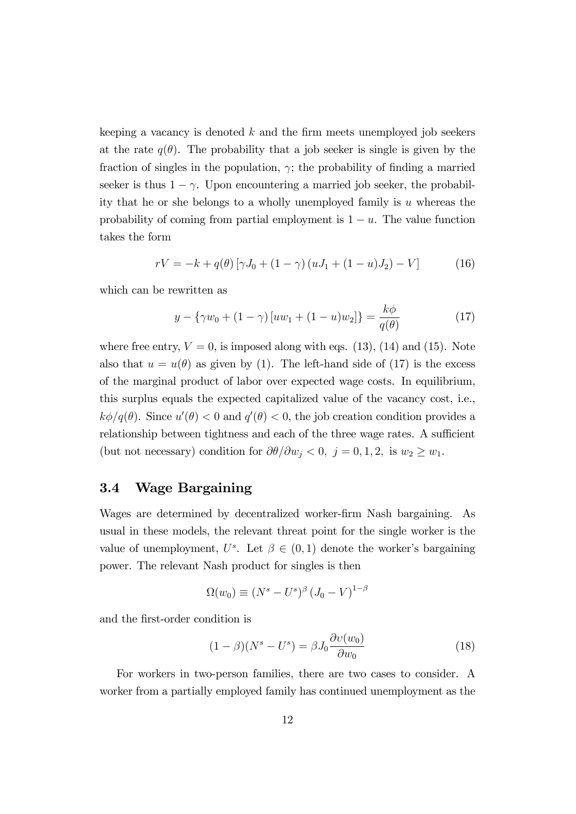keeping a vacancy is denoted  $k$  and the firm meets unemployed job seekers at the rate  $q(\theta)$ . The probability that a job seeker is single is given by the fraction of singles in the population,  $\gamma$ ; the probability of finding a married seeker is thus  $1 - \gamma$ . Upon encountering a married job seeker, the probability that he or she belongs to a wholly unemployed family is  $u$  whereas the probability of coming from partial employment is  $1 - u$ . The value function takes the form

$$
rV = -k + q(\theta) [\gamma J_0 + (1 - \gamma) (uJ_1 + (1 - u)J_2) - V] \tag{16}
$$

which can be rewritten as

$$
y - \{\gamma w_0 + (1 - \gamma) [uw_1 + (1 - u)w_2] \} = \frac{k\phi}{q(\theta)}
$$
(17)

where free entry,  $V = 0$ , is imposed along with eqs. (13), (14) and (15). Note also that  $u = u(\theta)$  as given by (1). The left-hand side of (17) is the excess of the marginal product of labor over expected wage costs. In equilibrium, this surplus equals the expected capitalized value of the vacancy cost, i.e.,  $k\phi/q(\theta)$ . Since  $u'(\theta) < 0$  and  $q'(\theta) < 0$ , the job creation condition provides a relationship between tightness and each of the three wage rates. A sufficient (but not necessary) condition for  $\partial\theta/\partial w_j < 0, j = 0, 1, 2,$  is  $w_2 \ge w_1$ .

### 3.4 Wage Bargaining

Wages are determined by decentralized worker-Örm Nash bargaining. As usual in these models, the relevant threat point for the single worker is the value of unemployment,  $U^s$ . Let  $\beta \in (0,1)$  denote the worker's bargaining power. The relevant Nash product for singles is then

$$
\Omega(w_0) \equiv (N^s - U^s)^\beta (J_0 - V)^{1-\beta}
$$

and the Örst-order condition is

$$
(1 - \beta)(N^s - U^s) = \beta J_0 \frac{\partial v(w_0)}{\partial w_0}
$$
 (18)

For workers in two-person families, there are two cases to consider. A worker from a partially employed family has continued unemployment as the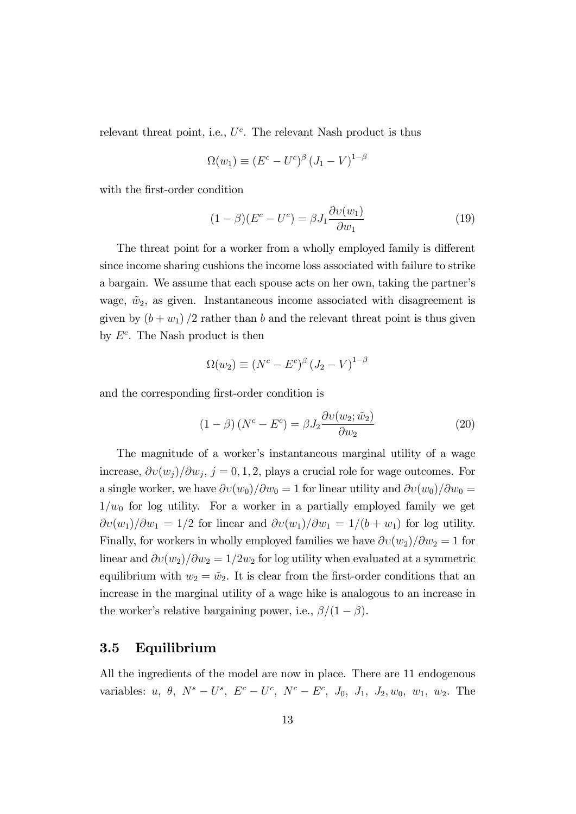relevant threat point, i.e.,  $U^c$ . The relevant Nash product is thus

$$
\Omega(w_1) \equiv (E^c - U^c)^{\beta} (J_1 - V)^{1-\beta}
$$

with the first-order condition

$$
(1 - \beta)(Ec - Uc) = \beta J_1 \frac{\partial v(w_1)}{\partial w_1}
$$
 (19)

The threat point for a worker from a wholly employed family is different since income sharing cushions the income loss associated with failure to strike a bargain. We assume that each spouse acts on her own, taking the partner's wage,  $\tilde{w}_2$ , as given. Instantaneous income associated with disagreement is given by  $(b + w_1)/2$  rather than b and the relevant threat point is thus given by  $E^c$ . The Nash product is then

$$
\Omega(w_2) \equiv (N^c - E^c)^{\beta} (J_2 - V)^{1-\beta}
$$

and the corresponding first-order condition is

$$
(1 - \beta) (N^c - E^c) = \beta J_2 \frac{\partial v(w_2; \tilde{w}_2)}{\partial w_2}
$$
 (20)

The magnitude of a worker's instantaneous marginal utility of a wage increase,  $\partial v(w_j)/\partial w_j$ ,  $j = 0, 1, 2$ , plays a crucial role for wage outcomes. For a single worker, we have  $\partial v(w_0)/\partial w_0 = 1$  for linear utility and  $\partial v(w_0)/\partial w_0 =$  $1/w_0$  for log utility. For a worker in a partially employed family we get  $\partial v(w_1)/\partial w_1 = 1/2$  for linear and  $\partial v(w_1)/\partial w_1 = 1/(b + w_1)$  for log utility. Finally, for workers in wholly employed families we have  $\partial v(w_2)/\partial w_2 = 1$  for linear and  $\partial v(w_2)/\partial w_2 = 1/2w_2$  for log utility when evaluated at a symmetric equilibrium with  $w_2 = \tilde{w}_2$ . It is clear from the first-order conditions that an increase in the marginal utility of a wage hike is analogous to an increase in the worker's relative bargaining power, i.e.,  $\beta/(1-\beta)$ .

#### 3.5 Equilibrium

All the ingredients of the model are now in place. There are 11 endogenous variables: *u*,  $\theta$ ,  $N^s - U^s$ ,  $E^c - U^c$ ,  $N^c - E^c$ ,  $J_0$ ,  $J_1$ ,  $J_2$ ,  $w_0$ ,  $w_1$ ,  $w_2$ . The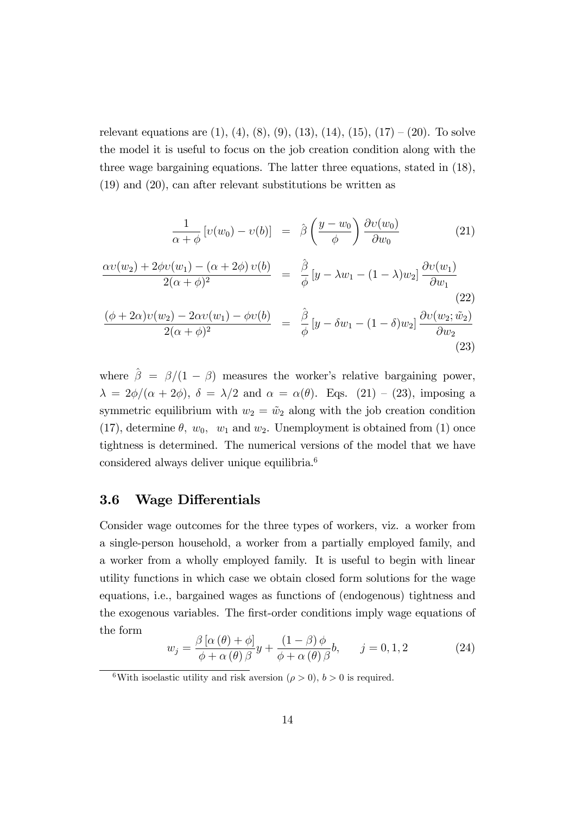relevant equations are  $(1)$ ,  $(4)$ ,  $(8)$ ,  $(9)$ ,  $(13)$ ,  $(14)$ ,  $(15)$ ,  $(17) - (20)$ . To solve the model it is useful to focus on the job creation condition along with the three wage bargaining equations. The latter three equations, stated in (18), (19) and (20), can after relevant substitutions be written as

$$
\frac{1}{\alpha + \phi} \left[ v(w_0) - v(b) \right] = \hat{\beta} \left( \frac{y - w_0}{\phi} \right) \frac{\partial v(w_0)}{\partial w_0}
$$
(21)  

$$
\frac{\alpha v(w_2) + 2\phi v(w_1) - (\alpha + 2\phi) v(b)}{2(\alpha + \phi)^2} = \frac{\hat{\beta}}{\phi} \left[ y - \lambda w_1 - (1 - \lambda) w_2 \right] \frac{\partial v(w_1)}{\partial w_1}
$$
(22)  

$$
\frac{(\phi + 2\alpha)v(w_2) - 2\alpha v(w_1) - \phi v(b)}{2(\alpha + \phi)^2} = \frac{\hat{\beta}}{\phi} \left[ y - \delta w_1 - (1 - \delta) w_2 \right] \frac{\partial v(w_2; \tilde{w}_2)}{\partial w_2}
$$
(23)

where  $\hat{\beta} = \beta/(1 - \beta)$  measures the worker's relative bargaining power,  $\lambda = 2\phi/(\alpha + 2\phi), \delta = \lambda/2$  and  $\alpha = \alpha(\theta)$ . Eqs. (21) – (23), imposing a symmetric equilibrium with  $w_2 = \tilde{w}_2$  along with the job creation condition (17), determine  $\theta$ ,  $w_0$ ,  $w_1$  and  $w_2$ . Unemployment is obtained from (1) once tightness is determined. The numerical versions of the model that we have considered always deliver unique equilibria.<sup>6</sup>

### 3.6 Wage Differentials

Consider wage outcomes for the three types of workers, viz. a worker from a single-person household, a worker from a partially employed family, and a worker from a wholly employed family. It is useful to begin with linear utility functions in which case we obtain closed form solutions for the wage equations, i.e., bargained wages as functions of (endogenous) tightness and the exogenous variables. The first-order conditions imply wage equations of the form

$$
w_j = \frac{\beta \left[ \alpha \left( \theta \right) + \phi \right]}{\phi + \alpha \left( \theta \right) \beta} y + \frac{\left( 1 - \beta \right) \phi}{\phi + \alpha \left( \theta \right) \beta} b, \qquad j = 0, 1, 2 \tag{24}
$$

<sup>&</sup>lt;sup>6</sup>With isoelastic utility and risk aversion ( $\rho > 0$ ),  $b > 0$  is required.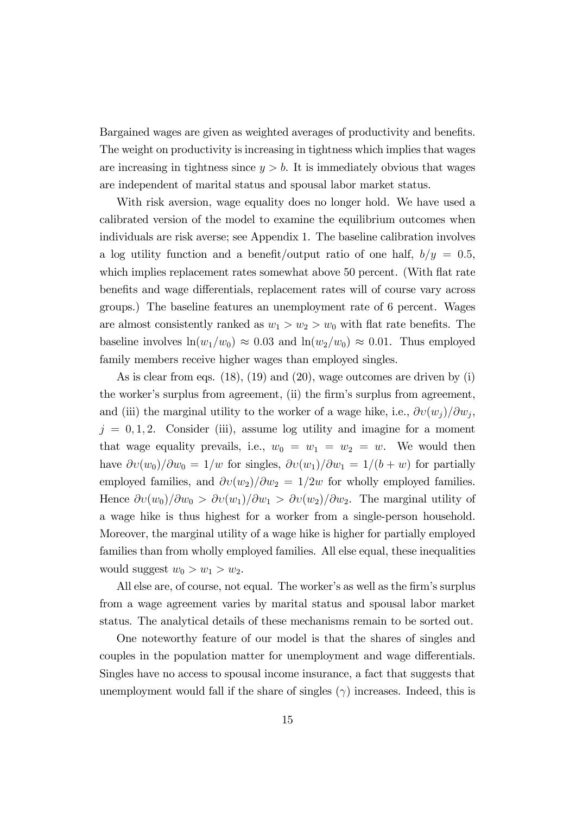Bargained wages are given as weighted averages of productivity and benefits. The weight on productivity is increasing in tightness which implies that wages are increasing in tightness since  $y > b$ . It is immediately obvious that wages are independent of marital status and spousal labor market status.

With risk aversion, wage equality does no longer hold. We have used a calibrated version of the model to examine the equilibrium outcomes when individuals are risk averse; see Appendix 1. The baseline calibration involves a log utility function and a benefit/output ratio of one half,  $b/y = 0.5$ , which implies replacement rates somewhat above 50 percent. (With flat rate benefits and wage differentials, replacement rates will of course vary across groups.) The baseline features an unemployment rate of 6 percent. Wages are almost consistently ranked as  $w_1 > w_2 > w_0$  with flat rate benefits. The baseline involves  $\ln(w_1/w_0) \approx 0.03$  and  $\ln(w_2/w_0) \approx 0.01$ . Thus employed family members receive higher wages than employed singles.

As is clear from eqs. (18), (19) and (20), wage outcomes are driven by (i) the worker's surplus from agreement, (ii) the firm's surplus from agreement, and (iii) the marginal utility to the worker of a wage hike, i.e.,  $\partial v(w_j) / \partial w_j$ ,  $j = 0, 1, 2$ . Consider (iii), assume log utility and imagine for a moment that wage equality prevails, i.e.,  $w_0 = w_1 = w_2 = w$ . We would then have  $\partial v(w_0)/\partial w_0 = 1/w$  for singles,  $\partial v(w_1)/\partial w_1 = 1/(b + w)$  for partially employed families, and  $\partial v(w_2)/\partial w_2 = 1/2w$  for wholly employed families. Hence  $\partial v(w_0)/\partial w_0 > \partial v(w_1)/\partial w_1 > \partial v(w_2)/\partial w_2$ . The marginal utility of a wage hike is thus highest for a worker from a single-person household. Moreover, the marginal utility of a wage hike is higher for partially employed families than from wholly employed families. All else equal, these inequalities would suggest  $w_0 > w_1 > w_2$ .

All else are, of course, not equal. The worker's as well as the firm's surplus from a wage agreement varies by marital status and spousal labor market status. The analytical details of these mechanisms remain to be sorted out.

One noteworthy feature of our model is that the shares of singles and couples in the population matter for unemployment and wage differentials. Singles have no access to spousal income insurance, a fact that suggests that unemployment would fall if the share of singles  $(\gamma)$  increases. Indeed, this is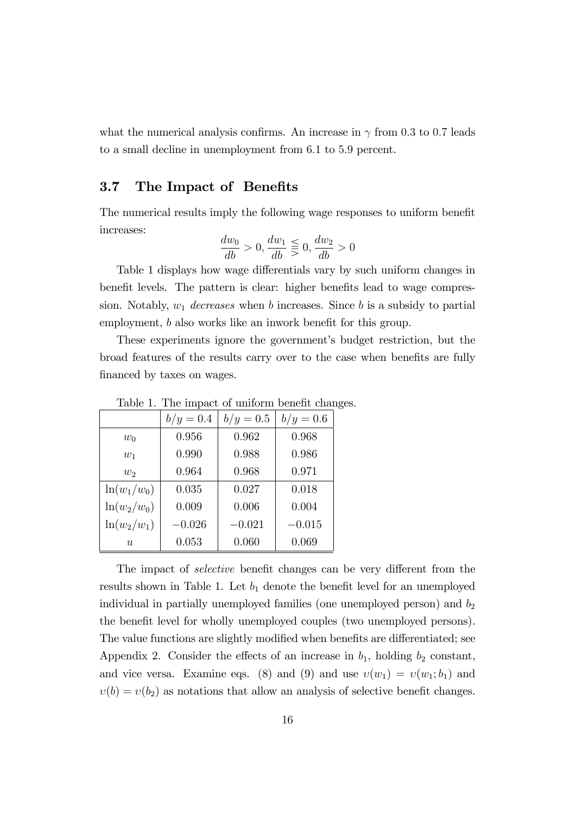what the numerical analysis confirms. An increase in  $\gamma$  from 0.3 to 0.7 leads to a small decline in unemployment from 6:1 to 5:9 percent.

### 3.7 The Impact of Benefits

The numerical results imply the following wage responses to uniform benefit increases:

$$
\frac{dw_0}{db} > 0, \frac{dw_1}{db} \leq 0, \frac{dw_2}{db} > 0
$$

Table 1 displays how wage differentials vary by such uniform changes in benefit levels. The pattern is clear: higher benefits lead to wage compression. Notably,  $w_1$  decreases when b increases. Since b is a subsidy to partial employment,  $b$  also works like an inwork benefit for this group.

These experiments ignore the government's budget restriction, but the broad features of the results carry over to the case when benefits are fully financed by taxes on wages.

|                | $b/y = 0.4$ | $b/y = 0.5$ | $b/y = 0.6$ |
|----------------|-------------|-------------|-------------|
| $w_0$          | 0.956       | 0.962       | 0.968       |
| $w_1$          | 0.990       | 0.988       | 0.986       |
| $w_2$          | 0.964       | 0.968       | 0.971       |
| $\ln(w_1/w_0)$ | 0.035       | 0.027       | 0.018       |
| $\ln(w_2/w_0)$ | 0.009       | 0.006       | 0.004       |
| $\ln(w_2/w_1)$ | $-0.026$    | $-0.021$    | $-0.015$    |
| u              | 0.053       | 0.060       | 0.069       |

Table 1. The impact of uniform benefit changes.

The impact of *selective* benefit changes can be very different from the results shown in Table 1. Let  $b_1$  denote the benefit level for an unemployed individual in partially unemployed families (one unemployed person) and  $b_2$ the benefit level for wholly unemployed couples (two unemployed persons). The value functions are slightly modified when benefits are differentiated; see Appendix 2. Consider the effects of an increase in  $b_1$ , holding  $b_2$  constant, and vice versa. Examine eqs. (8) and (9) and use  $v(w_1) = v(w_1; b_1)$  and  $v(b) = v(b_2)$  as notations that allow an analysis of selective benefit changes.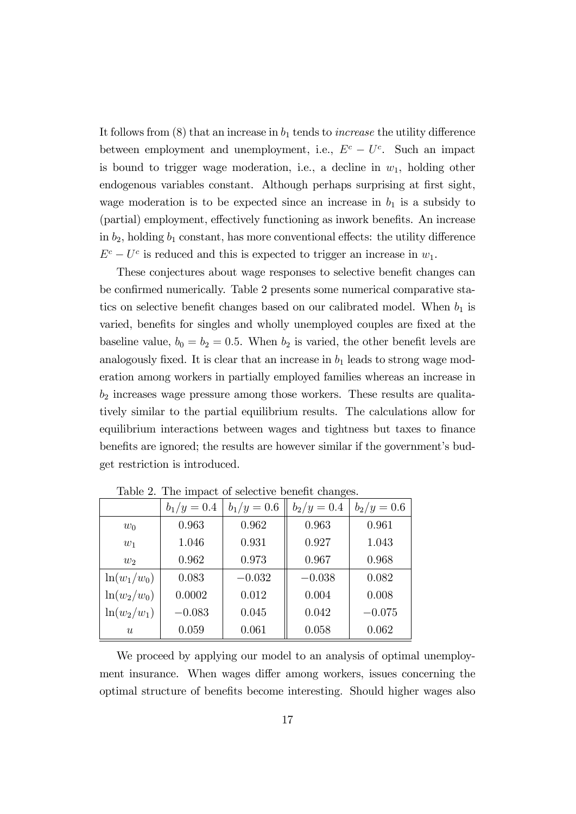It follows from  $(8)$  that an increase in  $b_1$  tends to *increase* the utility difference between employment and unemployment, i.e.,  $E^c - U^c$ . Such an impact is bound to trigger wage moderation, i.e., a decline in  $w_1$ , holding other endogenous variables constant. Although perhaps surprising at first sight, wage moderation is to be expected since an increase in  $b_1$  is a subsidy to (partial) employment, effectively functioning as inwork benefits. An increase in  $b_2$ , holding  $b_1$  constant, has more conventional effects: the utility difference  $E^c - U^c$  is reduced and this is expected to trigger an increase in  $w_1$ .

These conjectures about wage responses to selective benefit changes can be confirmed numerically. Table 2 presents some numerical comparative statics on selective benefit changes based on our calibrated model. When  $b_1$  is varied, benefits for singles and wholly unemployed couples are fixed at the baseline value,  $b_0 = b_2 = 0.5$ . When  $b_2$  is varied, the other benefit levels are analogously fixed. It is clear that an increase in  $b_1$  leads to strong wage moderation among workers in partially employed families whereas an increase in  $b_2$  increases wage pressure among those workers. These results are qualitatively similar to the partial equilibrium results. The calculations allow for equilibrium interactions between wages and tightness but taxes to finance benefits are ignored; the results are however similar if the government's budget restriction is introduced.

|                | $b_1/y = 0.4$ | $b_1/y = 0.6$ | $b_2/y = 0.4$ | $b_2/y = 0.6$ |
|----------------|---------------|---------------|---------------|---------------|
| $w_0$          | 0.963         | 0.962         | 0.963         | 0.961         |
| $w_1$          | 1.046         | 0.931         | 0.927         | 1.043         |
| $w_2$          | 0.962         | 0.973         | 0.967         | 0.968         |
| $\ln(w_1/w_0)$ | 0.083         | $-0.032$      | $-0.038$      | 0.082         |
| $\ln(w_2/w_0)$ | 0.0002        | 0.012         | 0.004         | 0.008         |
| $\ln(w_2/w_1)$ | $-0.083$      | 0.045         | 0.042         | $-0.075$      |
| u              | 0.059         | 0.061         | 0.058         | 0.062         |

Table 2. The impact of selective benefit changes.

We proceed by applying our model to an analysis of optimal unemployment insurance. When wages differ among workers, issues concerning the optimal structure of benefits become interesting. Should higher wages also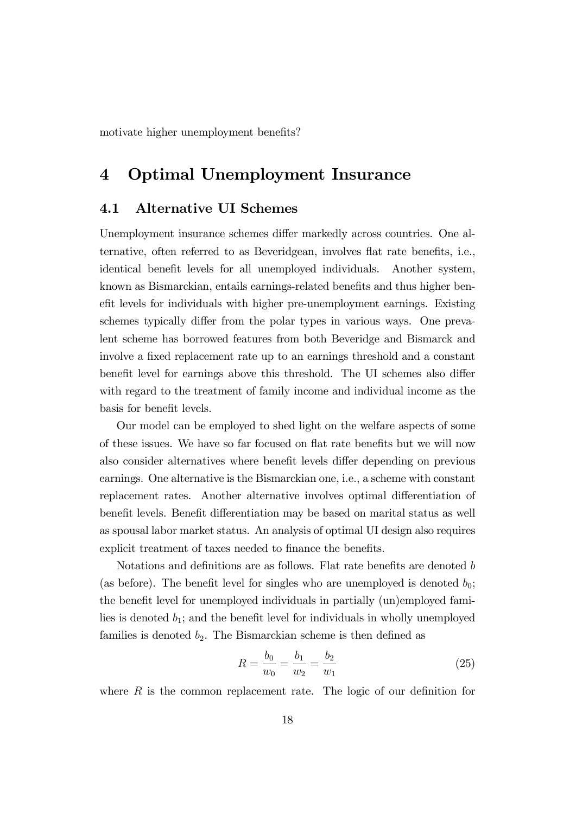motivate higher unemployment benefits?

# 4 Optimal Unemployment Insurance

### 4.1 Alternative UI Schemes

Unemployment insurance schemes differ markedly across countries. One alternative, often referred to as Beveridgean, involves flat rate benefits, i.e., identical benefit levels for all unemployed individuals. Another system, known as Bismarckian, entails earnings-related benefits and thus higher benefit levels for individuals with higher pre-unemployment earnings. Existing schemes typically differ from the polar types in various ways. One prevalent scheme has borrowed features from both Beveridge and Bismarck and involve a fixed replacement rate up to an earnings threshold and a constant benefit level for earnings above this threshold. The UI schemes also differ with regard to the treatment of family income and individual income as the basis for benefit levels.

Our model can be employed to shed light on the welfare aspects of some of these issues. We have so far focused on flat rate benefits but we will now also consider alternatives where benefit levels differ depending on previous earnings. One alternative is the Bismarckian one, i.e., a scheme with constant replacement rates. Another alternative involves optimal differentiation of benefit levels. Benefit differentiation may be based on marital status as well as spousal labor market status. An analysis of optimal UI design also requires explicit treatment of taxes needed to finance the benefits.

Notations and definitions are as follows. Flat rate benefits are denoted  $b$ (as before). The benefit level for singles who are unemployed is denoted  $b_0$ ; the benefit level for unemployed individuals in partially (un)employed families is denoted  $b_1$ ; and the benefit level for individuals in wholly unemployed families is denoted  $b_2$ . The Bismarckian scheme is then defined as

$$
R = \frac{b_0}{w_0} = \frac{b_1}{w_2} = \frac{b_2}{w_1}
$$
\n(25)

where  $R$  is the common replacement rate. The logic of our definition for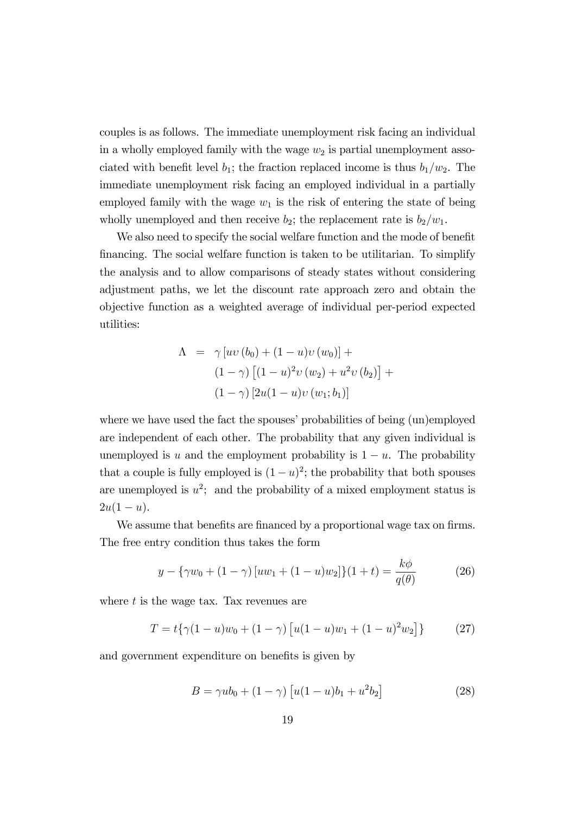couples is as follows. The immediate unemployment risk facing an individual in a wholly employed family with the wage  $w_2$  is partial unemployment associated with benefit level  $b_1$ ; the fraction replaced income is thus  $b_1/w_2$ . The immediate unemployment risk facing an employed individual in a partially employed family with the wage  $w_1$  is the risk of entering the state of being wholly unemployed and then receive  $b_2$ ; the replacement rate is  $b_2/w_1$ .

We also need to specify the social welfare function and the mode of benefit Önancing. The social welfare function is taken to be utilitarian. To simplify the analysis and to allow comparisons of steady states without considering adjustment paths, we let the discount rate approach zero and obtain the objective function as a weighted average of individual per-period expected utilities:

$$
\Lambda = \gamma [uv (b_0) + (1 - u)v (w_0)] +
$$
  

$$
(1 - \gamma) [(1 - u)^2 v (w_2) + u^2 v (b_2)] +
$$
  

$$
(1 - \gamma) [2u(1 - u)v (w_1; b_1)]
$$

where we have used the fact the spouses' probabilities of being (un)employed are independent of each other. The probability that any given individual is unemployed is u and the employment probability is  $1 - u$ . The probability that a couple is fully employed is  $(1 - u)^2$ ; the probability that both spouses are unemployed is  $u^2$ ; and the probability of a mixed employment status is  $2u(1-u)$ .

We assume that benefits are financed by a proportional wage tax on firms. The free entry condition thus takes the form

$$
y - \{\gamma w_0 + (1 - \gamma) [uw_1 + (1 - u)w_2] \} (1 + t) = \frac{k\phi}{q(\theta)}
$$
 (26)

where  $t$  is the wage tax. Tax revenues are

$$
T = t\{\gamma(1-u)w_0 + (1-\gamma) \left[ u(1-u)w_1 + (1-u)^2 w_2 \right] \} \tag{27}
$$

and government expenditure on benefits is given by

$$
B = \gamma u b_0 + (1 - \gamma) \left[ u(1 - u)b_1 + u^2 b_2 \right] \tag{28}
$$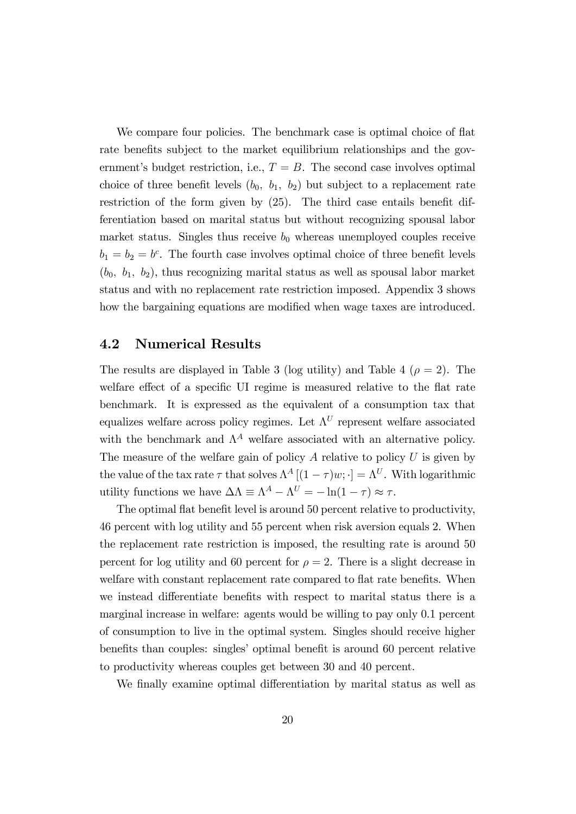We compare four policies. The benchmark case is optimal choice of flat rate benefits subject to the market equilibrium relationships and the government's budget restriction, i.e.,  $T = B$ . The second case involves optimal choice of three benefit levels  $(b_0, b_1, b_2)$  but subject to a replacement rate restriction of the form given by  $(25)$ . The third case entails benefit differentiation based on marital status but without recognizing spousal labor market status. Singles thus receive  $b_0$  whereas unemployed couples receive  $b_1 = b_2 = b^c$ . The fourth case involves optimal choice of three benefit levels  $(b_0, b_1, b_2)$ , thus recognizing marital status as well as spousal labor market status and with no replacement rate restriction imposed. Appendix 3 shows how the bargaining equations are modified when wage taxes are introduced.

#### 4.2 Numerical Results

The results are displayed in Table 3 (log utility) and Table 4 ( $\rho = 2$ ). The welfare effect of a specific UI regime is measured relative to the flat rate benchmark. It is expressed as the equivalent of a consumption tax that equalizes welfare across policy regimes. Let  $\Lambda^U$  represent welfare associated with the benchmark and  $\Lambda^A$  welfare associated with an alternative policy. The measure of the welfare gain of policy  $A$  relative to policy  $U$  is given by the value of the tax rate  $\tau$  that solves  $\Lambda^A$   $[(1 - \tau)w; \cdot] = \Lambda^U$ . With logarithmic utility functions we have  $\Delta \Lambda = \Lambda^A - \Lambda^U = -\ln(1 - \tau) \approx \tau$ .

The optimal flat benefit level is around 50 percent relative to productivity, 46 percent with log utility and 55 percent when risk aversion equals 2. When the replacement rate restriction is imposed, the resulting rate is around 50 percent for log utility and 60 percent for  $\rho = 2$ . There is a slight decrease in welfare with constant replacement rate compared to flat rate benefits. When we instead differentiate benefits with respect to marital status there is a marginal increase in welfare: agents would be willing to pay only 0.1 percent of consumption to live in the optimal system. Singles should receive higher benefits than couples: singles' optimal benefit is around 60 percent relative to productivity whereas couples get between 30 and 40 percent.

We finally examine optimal differentiation by marital status as well as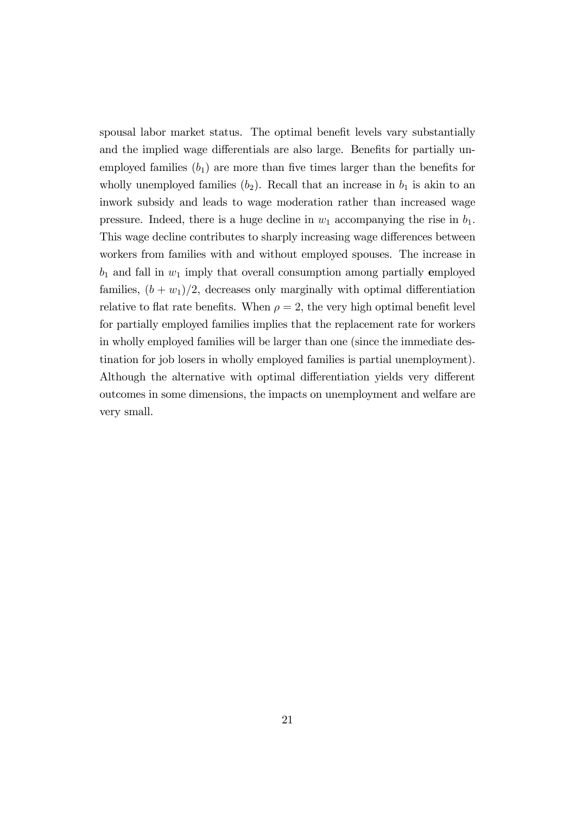spousal labor market status. The optimal benefit levels vary substantially and the implied wage differentials are also large. Benefits for partially unemployed families  $(b_1)$  are more than five times larger than the benefits for wholly unemployed families  $(b_2)$ . Recall that an increase in  $b_1$  is akin to an inwork subsidy and leads to wage moderation rather than increased wage pressure. Indeed, there is a huge decline in  $w_1$  accompanying the rise in  $b_1$ . This wage decline contributes to sharply increasing wage differences between workers from families with and without employed spouses. The increase in  $b_1$  and fall in  $w_1$  imply that overall consumption among partially employed families,  $(b + w_1)/2$ , decreases only marginally with optimal differentiation relative to flat rate benefits. When  $\rho = 2$ , the very high optimal benefit level for partially employed families implies that the replacement rate for workers in wholly employed families will be larger than one (since the immediate destination for job losers in wholly employed families is partial unemployment). Although the alternative with optimal differentiation yields very different outcomes in some dimensions, the impacts on unemployment and welfare are very small.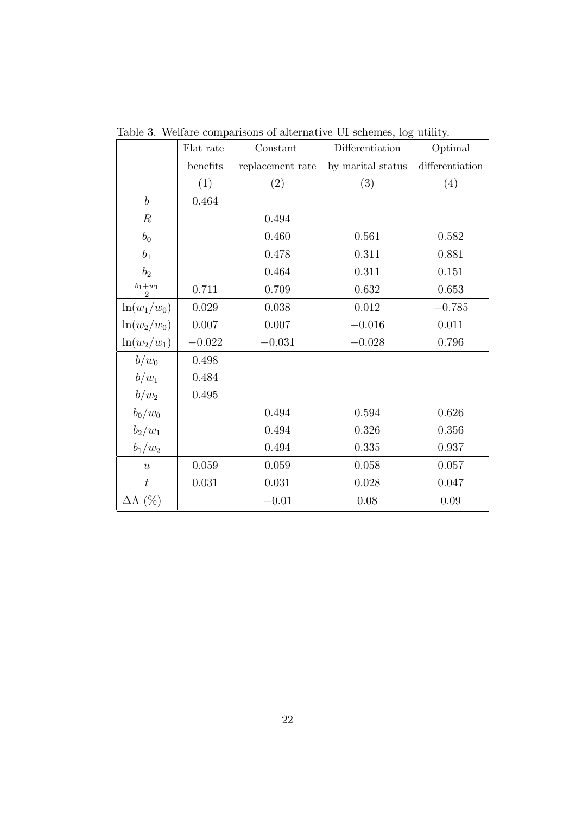|                       | Flat rate | Constant         | Differentiation   | Optimal         |
|-----------------------|-----------|------------------|-------------------|-----------------|
|                       | benefits  | replacement rate | by marital status | differentiation |
|                       | (1)       | (2)              | (3)               | (4)             |
| $\boldsymbol{b}$      | 0.464     |                  |                   |                 |
| $\cal R$              |           | 0.494            |                   |                 |
| $b_0$                 |           | 0.460            | 0.561             | 0.582           |
| $b_1$                 |           | 0.478            | 0.311             | 0.881           |
| b <sub>2</sub>        |           | 0.464            | 0.311             | 0.151           |
| $\underline{b_1+w_1}$ | 0.711     | 0.709            | 0.632             | 0.653           |
| $ln(w_1/w_0)$         | 0.029     | 0.038            | $0.012\,$         | $-0.785$        |
| $\ln(w_2/w_0)$        | 0.007     | 0.007            | $-0.016$          | 0.011           |
| $\ln(w_2/w_1)$        | $-0.022$  | $-0.031$         | $-0.028$          | 0.796           |
| $b/w_0$               | 0.498     |                  |                   |                 |
| $b/w_1$               | 0.484     |                  |                   |                 |
| $b/w_2$               | 0.495     |                  |                   |                 |
| $b_0/w_0$             |           | 0.494            | 0.594             | 0.626           |
| $b_2/w_1$             |           | 0.494            | 0.326             | 0.356           |
| $b_1/w_2$             |           | 0.494            | 0.335             | 0.937           |
| $\boldsymbol{u}$      | 0.059     | 0.059            | 0.058             | 0.057           |
| $\boldsymbol{t}$      | 0.031     | 0.031            | 0.028             | 0.047           |
| $\Delta\Lambda$ (%)   |           | $-0.01$          | 0.08              | 0.09            |

Table 3. Welfare comparisons of alternative UI schemes, log utility.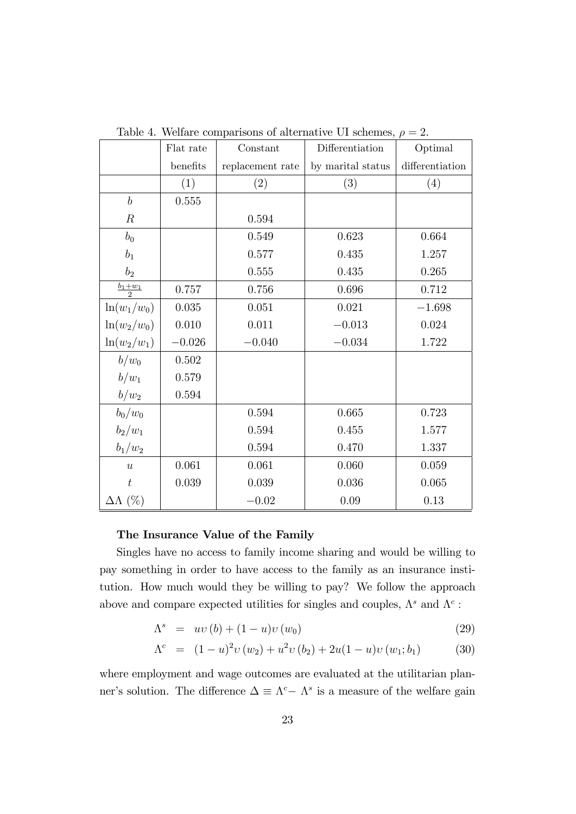|                     | Flat rate | Constant         | Differentiation   | Optimal         |
|---------------------|-----------|------------------|-------------------|-----------------|
|                     | benefits  | replacement rate | by marital status | differentiation |
|                     | (1)       | (2)              | (3)               | (4)             |
| $\boldsymbol{b}$    | 0.555     |                  |                   |                 |
| $\boldsymbol{R}$    |           | 0.594            |                   |                 |
| $b_0$               |           | 0.549            | 0.623             | 0.664           |
| $b_1$               |           | 0.577            | 0.435             | 1.257           |
| b <sub>2</sub>      |           | 0.555            | 0.435             | 0.265           |
| $rac{b_1+w_1}{2}$   | 0.757     | 0.756            | 0.696             | 0.712           |
| $ln(w_1/w_0)$       | 0.035     | 0.051            | 0.021             | $-1.698$        |
| $\ln(w_2/w_0)$      | 0.010     | 0.011            | $-0.013$          | 0.024           |
| $\ln(w_2/w_1)$      | $-0.026$  | $-0.040$         | $-0.034$          | 1.722           |
| $b/w_0$             | 0.502     |                  |                   |                 |
| $b/w_1$             | 0.579     |                  |                   |                 |
| $b/w_2$             | 0.594     |                  |                   |                 |
| $b_0/w_0$           |           | 0.594            | 0.665             | 0.723           |
| $b_2/w_1$           |           | 0.594            | 0.455             | 1.577           |
| $b_1/w_2$           |           | 0.594            | 0.470             | 1.337           |
| $\overline{u}$      | 0.061     | 0.061            | 0.060             | 0.059           |
| $\boldsymbol{t}$    | 0.039     | 0.039            | 0.036             | 0.065           |
| $\Delta\Lambda$ (%) |           | $-0.02$          | 0.09              | 0.13            |

Table 4. Welfare comparisons of alternative UI schemes,  $\rho = 2$ .

#### The Insurance Value of the Family

Singles have no access to family income sharing and would be willing to pay something in order to have access to the family as an insurance institution. How much would they be willing to pay? We follow the approach above and compare expected utilities for singles and couples,  $\Lambda^s$  and  $\Lambda^c$ :

$$
\Lambda^s = uv(b) + (1 - u)v(w_0)
$$
\n(29)

$$
\Lambda^{c} = (1 - u)^{2} v (w_{2}) + u^{2} v (b_{2}) + 2u(1 - u)v (w_{1}; b_{1})
$$
 (30)

where employment and wage outcomes are evaluated at the utilitarian planner's solution. The difference  $\Delta \equiv \Lambda^c - \Lambda^s$  is a measure of the welfare gain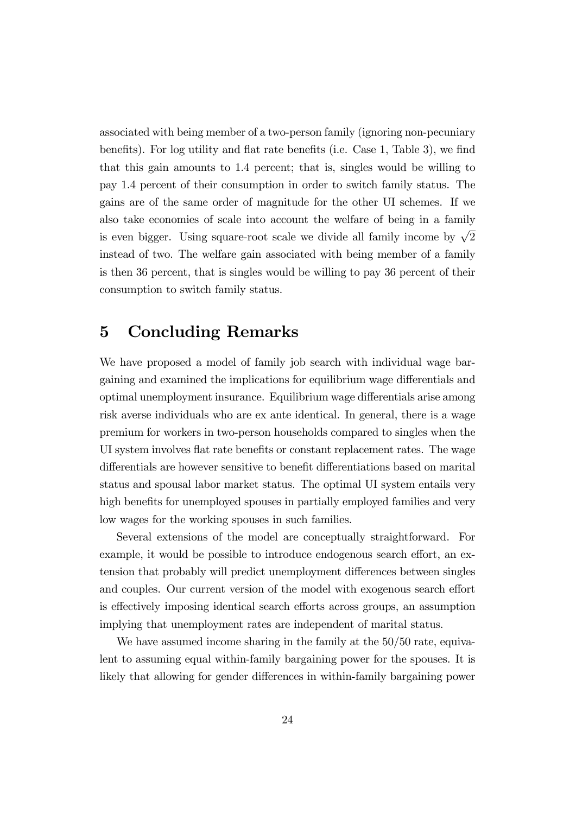associated with being member of a two-person family (ignoring non-pecuniary benefits). For log utility and flat rate benefits (i.e. Case 1, Table 3), we find that this gain amounts to 1.4 percent; that is, singles would be willing to pay 1.4 percent of their consumption in order to switch family status. The gains are of the same order of magnitude for the other UI schemes. If we also take economies of scale into account the welfare of being in a family is even bigger. Using square-root scale we divide all family income by  $\sqrt{2}$ instead of two. The welfare gain associated with being member of a family is then 36 percent, that is singles would be willing to pay 36 percent of their consumption to switch family status.

### 5 Concluding Remarks

We have proposed a model of family job search with individual wage bargaining and examined the implications for equilibrium wage differentials and optimal unemployment insurance. Equilibrium wage differentials arise among risk averse individuals who are ex ante identical. In general, there is a wage premium for workers in two-person households compared to singles when the UI system involves flat rate benefits or constant replacement rates. The wage differentials are however sensitive to benefit differentiations based on marital status and spousal labor market status. The optimal UI system entails very high benefits for unemployed spouses in partially employed families and very low wages for the working spouses in such families.

Several extensions of the model are conceptually straightforward. For example, it would be possible to introduce endogenous search effort, an extension that probably will predict unemployment differences between singles and couples. Our current version of the model with exogenous search effort is effectively imposing identical search efforts across groups, an assumption implying that unemployment rates are independent of marital status.

We have assumed income sharing in the family at the  $50/50$  rate, equivalent to assuming equal within-family bargaining power for the spouses. It is likely that allowing for gender differences in within-family bargaining power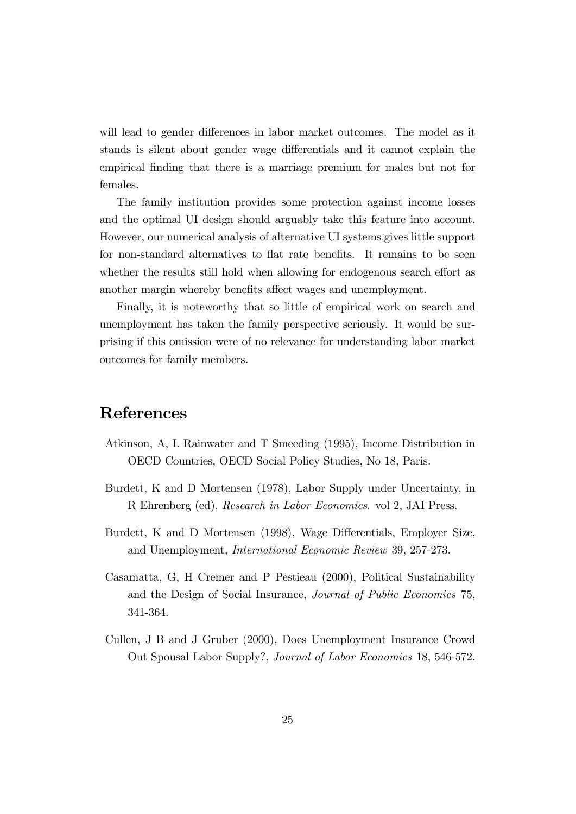will lead to gender differences in labor market outcomes. The model as it stands is silent about gender wage differentials and it cannot explain the empirical Önding that there is a marriage premium for males but not for females.

The family institution provides some protection against income losses and the optimal UI design should arguably take this feature into account. However, our numerical analysis of alternative UI systems gives little support for non-standard alternatives to flat rate benefits. It remains to be seen whether the results still hold when allowing for endogenous search effort as another margin whereby benefits affect wages and unemployment.

Finally, it is noteworthy that so little of empirical work on search and unemployment has taken the family perspective seriously. It would be surprising if this omission were of no relevance for understanding labor market outcomes for family members.

# References

- Atkinson, A, L Rainwater and T Smeeding (1995), Income Distribution in OECD Countries, OECD Social Policy Studies, No 18, Paris.
- Burdett, K and D Mortensen (1978), Labor Supply under Uncertainty, in R Ehrenberg (ed), Research in Labor Economics. vol 2, JAI Press.
- Burdett, K and D Mortensen (1998), Wage Differentials, Employer Size, and Unemployment, International Economic Review 39, 257-273.
- Casamatta, G, H Cremer and P Pestieau (2000), Political Sustainability and the Design of Social Insurance, Journal of Public Economics 75, 341-364.
- Cullen, J B and J Gruber (2000), Does Unemployment Insurance Crowd Out Spousal Labor Supply?, Journal of Labor Economics 18, 546-572.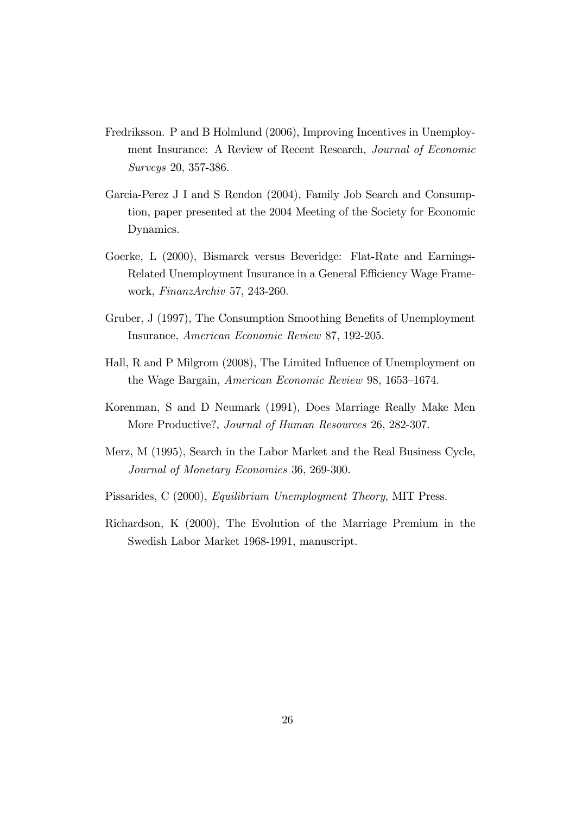- Fredriksson. P and B Holmlund (2006), Improving Incentives in Unemployment Insurance: A Review of Recent Research, Journal of Economic Surveys 20, 357-386.
- Garcia-Perez J I and S Rendon (2004), Family Job Search and Consumption, paper presented at the 2004 Meeting of the Society for Economic Dynamics.
- Goerke, L (2000), Bismarck versus Beveridge: Flat-Rate and Earnings-Related Unemployment Insurance in a General Efficiency Wage Framework, FinanzArchiv 57, 243-260.
- Gruber, J (1997), The Consumption Smoothing Benefits of Unemployment Insurance, American Economic Review 87, 192-205.
- Hall, R and P Milgrom (2008), The Limited Influence of Unemployment on the Wage Bargain, American Economic Review 98, 1653-1674.
- Korenman, S and D Neumark (1991), Does Marriage Really Make Men More Productive?, Journal of Human Resources 26, 282-307.
- Merz, M (1995), Search in the Labor Market and the Real Business Cycle, Journal of Monetary Economics 36, 269-300.
- Pissarides, C (2000), Equilibrium Unemployment Theory, MIT Press.
- Richardson, K (2000), The Evolution of the Marriage Premium in the Swedish Labor Market 1968-1991, manuscript.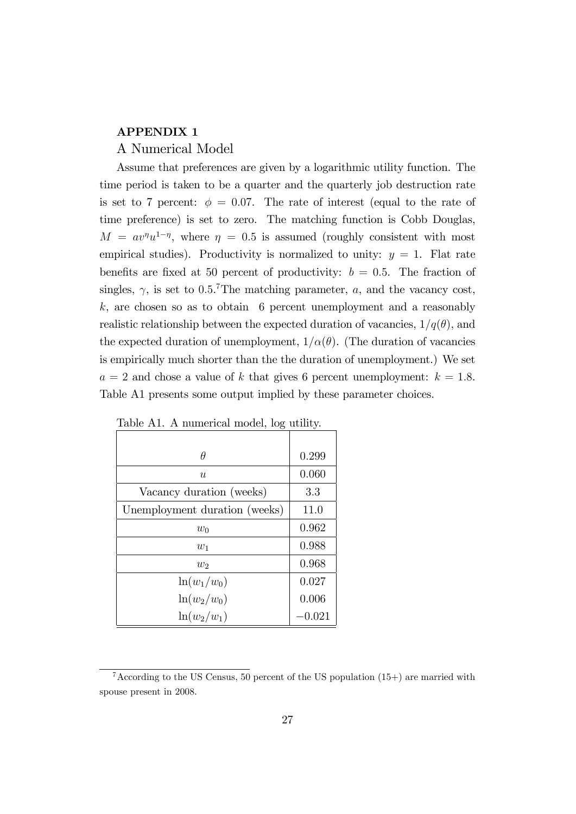#### APPENDIX 1

#### A Numerical Model

Assume that preferences are given by a logarithmic utility function. The time period is taken to be a quarter and the quarterly job destruction rate is set to 7 percent:  $\phi = 0.07$ . The rate of interest (equal to the rate of time preference) is set to zero. The matching function is Cobb Douglas,  $M = av^{\eta}u^{1-\eta}$ , where  $\eta = 0.5$  is assumed (roughly consistent with most empirical studies). Productivity is normalized to unity:  $y = 1$ . Flat rate benefits are fixed at 50 percent of productivity:  $b = 0.5$ . The fraction of singles,  $\gamma$ , is set to 0.5.<sup>7</sup>The matching parameter, a, and the vacancy cost,  $k$ , are chosen so as to obtain 6 percent unemployment and a reasonably realistic relationship between the expected duration of vacancies,  $1/q(\theta)$ , and the expected duration of unemployment,  $1/\alpha(\theta)$ . (The duration of vacancies is empirically much shorter than the the duration of unemployment.) We set  $a = 2$  and chose a value of k that gives 6 percent unemployment:  $k = 1.8$ . Table A1 presents some output implied by these parameter choices.

| ິ                             |       |
|-------------------------------|-------|
|                               |       |
| θ                             | 0.299 |
| u                             | 0.060 |
| Vacancy duration (weeks)      | 3.3   |
| Unemployment duration (weeks) | 11.0  |
| $w_0$                         | 0.962 |
| $w_1$                         | 0.988 |
| $w_2$                         | 0.968 |
| $ln(w_1/w_0)$                 | 0.027 |
| $\ln(w_2/w_0)$                | 0.006 |
| $ln(w_2/w_1)$                 | 0.021 |

Table A1. A numerical model, log utility.

<sup>&</sup>lt;sup>7</sup>According to the US Census, 50 percent of the US population  $(15+)$  are married with spouse present in 2008.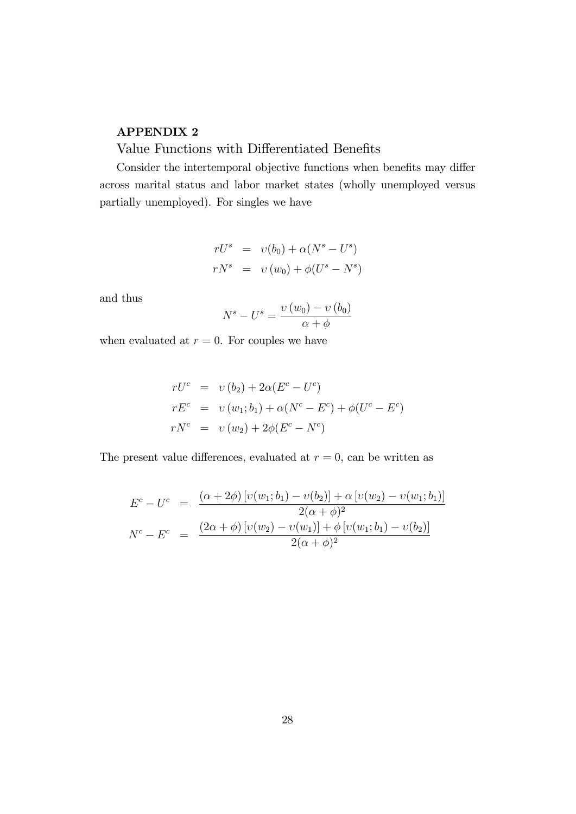#### APPENDIX 2

# Value Functions with Differentiated Benefits

Consider the intertemporal objective functions when benefits may differ across marital status and labor market states (wholly unemployed versus partially unemployed). For singles we have

$$
rUs = v(b0) + \alpha (Ns - Us)
$$
  

$$
rNs = v(w0) + \phi (Us - Ns)
$$

and thus

$$
N^{s} - U^{s} = \frac{\upsilon(w_{0}) - \upsilon(b_{0})}{\alpha + \phi}
$$

when evaluated at  $r = 0$ . For couples we have

$$
rU^{c} = v(b_{2}) + 2\alpha (E^{c} - U^{c})
$$
  
\n
$$
rE^{c} = v(w_{1}; b_{1}) + \alpha (N^{c} - E^{c}) + \phi (U^{c} - E^{c})
$$
  
\n
$$
rN^{c} = v(w_{2}) + 2\phi (E^{c} - N^{c})
$$

The present value differences, evaluated at  $r = 0$ , can be written as

$$
E^{c} - U^{c} = \frac{(\alpha + 2\phi) [v(w_{1}; b_{1}) - v(b_{2})] + \alpha [v(w_{2}) - v(w_{1}; b_{1})]}{2(\alpha + \phi)^{2}}
$$
  

$$
N^{c} - E^{c} = \frac{(2\alpha + \phi) [v(w_{2}) - v(w_{1})] + \phi [v(w_{1}; b_{1}) - v(b_{2})]}{2(\alpha + \phi)^{2}}
$$